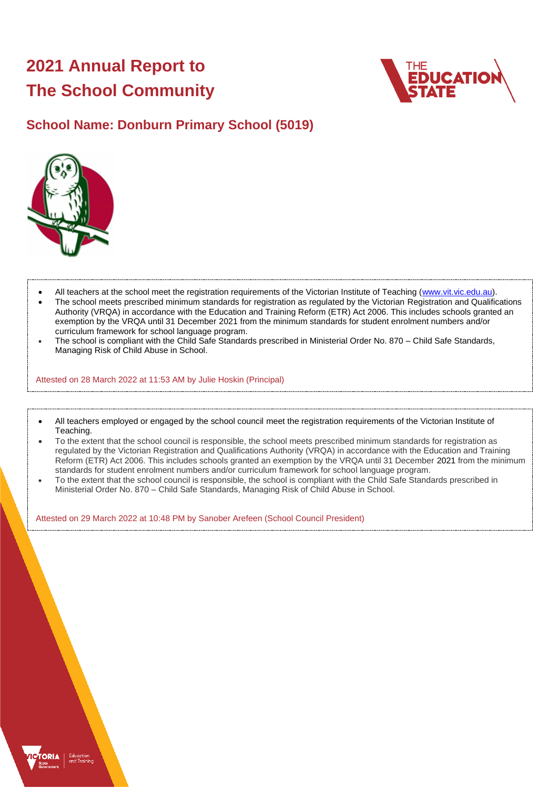# **2021 Annual Report to The School Community**



# **School Name: Donburn Primary School (5019)**



- All teachers at the school meet the registration requirements of the Victorian Institute of Teaching [\(www.vit.vic.edu.au\)](https://www.vit.vic.edu.au/).
- The school meets prescribed minimum standards for registration as regulated by the Victorian Registration and Qualifications Authority (VRQA) in accordance with the Education and Training Reform (ETR) Act 2006. This includes schools granted an exemption by the VRQA until 31 December 2021 from the minimum standards for student enrolment numbers and/or curriculum framework for school language program.
- The school is compliant with the Child Safe Standards prescribed in Ministerial Order No. 870 Child Safe Standards, Managing Risk of Child Abuse in School.

Attested on 28 March 2022 at 11:53 AM by Julie Hoskin (Principal)

- All teachers employed or engaged by the school council meet the registration requirements of the Victorian Institute of Teaching.
- To the extent that the school council is responsible, the school meets prescribed minimum standards for registration as regulated by the Victorian Registration and Qualifications Authority (VRQA) in accordance with the Education and Training Reform (ETR) Act 2006. This includes schools granted an exemption by the VRQA until 31 December 2021 from the minimum standards for student enrolment numbers and/or curriculum framework for school language program.
- To the extent that the school council is responsible, the school is compliant with the Child Safe Standards prescribed in Ministerial Order No. 870 – Child Safe Standards, Managing Risk of Child Abuse in School.

Attested on 29 March 2022 at 10:48 PM by Sanober Arefeen (School Council President)

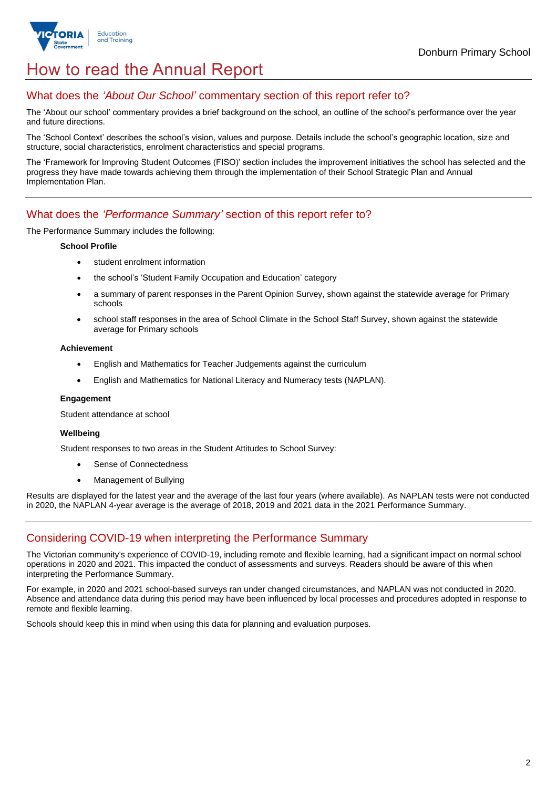

# How to read the Annual Report

## What does the *'About Our School'* commentary section of this report refer to?

The 'About our school' commentary provides a brief background on the school, an outline of the school's performance over the year and future directions.

The 'School Context' describes the school's vision, values and purpose. Details include the school's geographic location, size and structure, social characteristics, enrolment characteristics and special programs.

The 'Framework for Improving Student Outcomes (FISO)' section includes the improvement initiatives the school has selected and the progress they have made towards achieving them through the implementation of their School Strategic Plan and Annual Implementation Plan.

### What does the *'Performance Summary'* section of this report refer to?

The Performance Summary includes the following:

### **School Profile**

- student enrolment information
- the school's 'Student Family Occupation and Education' category
- a summary of parent responses in the Parent Opinion Survey, shown against the statewide average for Primary schools
- school staff responses in the area of School Climate in the School Staff Survey, shown against the statewide average for Primary schools

### **Achievement**

- English and Mathematics for Teacher Judgements against the curriculum
- English and Mathematics for National Literacy and Numeracy tests (NAPLAN).

### **Engagement**

Student attendance at school

### **Wellbeing**

Student responses to two areas in the Student Attitudes to School Survey:

- Sense of Connectedness
- Management of Bullying

Results are displayed for the latest year and the average of the last four years (where available). As NAPLAN tests were not conducted in 2020, the NAPLAN 4-year average is the average of 2018, 2019 and 2021 data in the 2021 Performance Summary.

# Considering COVID-19 when interpreting the Performance Summary

The Victorian community's experience of COVID-19, including remote and flexible learning, had a significant impact on normal school operations in 2020 and 2021. This impacted the conduct of assessments and surveys. Readers should be aware of this when interpreting the Performance Summary.

For example, in 2020 and 2021 school-based surveys ran under changed circumstances, and NAPLAN was not conducted in 2020. Absence and attendance data during this period may have been influenced by local processes and procedures adopted in response to remote and flexible learning.

Schools should keep this in mind when using this data for planning and evaluation purposes.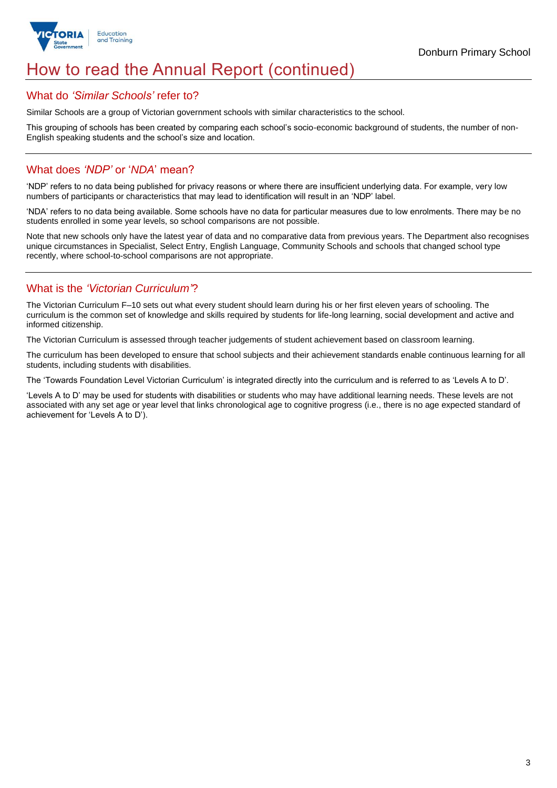

# How to read the Annual Report (continued)

### What do *'Similar Schools'* refer to?

Similar Schools are a group of Victorian government schools with similar characteristics to the school.

This grouping of schools has been created by comparing each school's socio-economic background of students, the number of non-English speaking students and the school's size and location.

## What does *'NDP'* or '*NDA*' mean?

'NDP' refers to no data being published for privacy reasons or where there are insufficient underlying data. For example, very low numbers of participants or characteristics that may lead to identification will result in an 'NDP' label.

'NDA' refers to no data being available. Some schools have no data for particular measures due to low enrolments. There may be no students enrolled in some year levels, so school comparisons are not possible.

Note that new schools only have the latest year of data and no comparative data from previous years. The Department also recognises unique circumstances in Specialist, Select Entry, English Language, Community Schools and schools that changed school type recently, where school-to-school comparisons are not appropriate.

# What is the *'Victorian Curriculum'*?

The Victorian Curriculum F–10 sets out what every student should learn during his or her first eleven years of schooling. The curriculum is the common set of knowledge and skills required by students for life-long learning, social development and active and informed citizenship.

The Victorian Curriculum is assessed through teacher judgements of student achievement based on classroom learning.

The curriculum has been developed to ensure that school subjects and their achievement standards enable continuous learning for all students, including students with disabilities.

The 'Towards Foundation Level Victorian Curriculum' is integrated directly into the curriculum and is referred to as 'Levels A to D'.

'Levels A to D' may be used for students with disabilities or students who may have additional learning needs. These levels are not associated with any set age or year level that links chronological age to cognitive progress (i.e., there is no age expected standard of achievement for 'Levels A to D').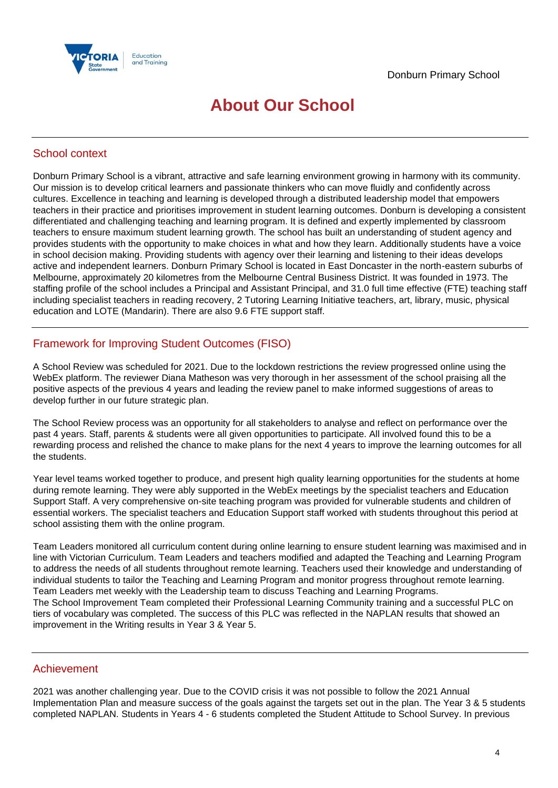

# **About Our School**

## School context

Donburn Primary School is a vibrant, attractive and safe learning environment growing in harmony with its community. Our mission is to develop critical learners and passionate thinkers who can move fluidly and confidently across cultures. Excellence in teaching and learning is developed through a distributed leadership model that empowers teachers in their practice and prioritises improvement in student learning outcomes. Donburn is developing a consistent differentiated and challenging teaching and learning program. It is defined and expertly implemented by classroom teachers to ensure maximum student learning growth. The school has built an understanding of student agency and provides students with the opportunity to make choices in what and how they learn. Additionally students have a voice in school decision making. Providing students with agency over their learning and listening to their ideas develops active and independent learners. Donburn Primary School is located in East Doncaster in the north-eastern suburbs of Melbourne, approximately 20 kilometres from the Melbourne Central Business District. It was founded in 1973. The staffing profile of the school includes a Principal and Assistant Principal, and 31.0 full time effective (FTE) teaching staff including specialist teachers in reading recovery, 2 Tutoring Learning Initiative teachers, art, library, music, physical education and LOTE (Mandarin). There are also 9.6 FTE support staff.

# Framework for Improving Student Outcomes (FISO)

A School Review was scheduled for 2021. Due to the lockdown restrictions the review progressed online using the WebEx platform. The reviewer Diana Matheson was very thorough in her assessment of the school praising all the positive aspects of the previous 4 years and leading the review panel to make informed suggestions of areas to develop further in our future strategic plan.

The School Review process was an opportunity for all stakeholders to analyse and reflect on performance over the past 4 years. Staff, parents & students were all given opportunities to participate. All involved found this to be a rewarding process and relished the chance to make plans for the next 4 years to improve the learning outcomes for all the students.

Year level teams worked together to produce, and present high quality learning opportunities for the students at home during remote learning. They were ably supported in the WebEx meetings by the specialist teachers and Education Support Staff. A very comprehensive on-site teaching program was provided for vulnerable students and children of essential workers. The specialist teachers and Education Support staff worked with students throughout this period at school assisting them with the online program.

Team Leaders monitored all curriculum content during online learning to ensure student learning was maximised and in line with Victorian Curriculum. Team Leaders and teachers modified and adapted the Teaching and Learning Program to address the needs of all students throughout remote learning. Teachers used their knowledge and understanding of individual students to tailor the Teaching and Learning Program and monitor progress throughout remote learning. Team Leaders met weekly with the Leadership team to discuss Teaching and Learning Programs. The School Improvement Team completed their Professional Learning Community training and a successful PLC on tiers of vocabulary was completed. The success of this PLC was reflected in the NAPLAN results that showed an improvement in the Writing results in Year 3 & Year 5.

### Achievement

2021 was another challenging year. Due to the COVID crisis it was not possible to follow the 2021 Annual Implementation Plan and measure success of the goals against the targets set out in the plan. The Year 3 & 5 students completed NAPLAN. Students in Years 4 - 6 students completed the Student Attitude to School Survey. In previous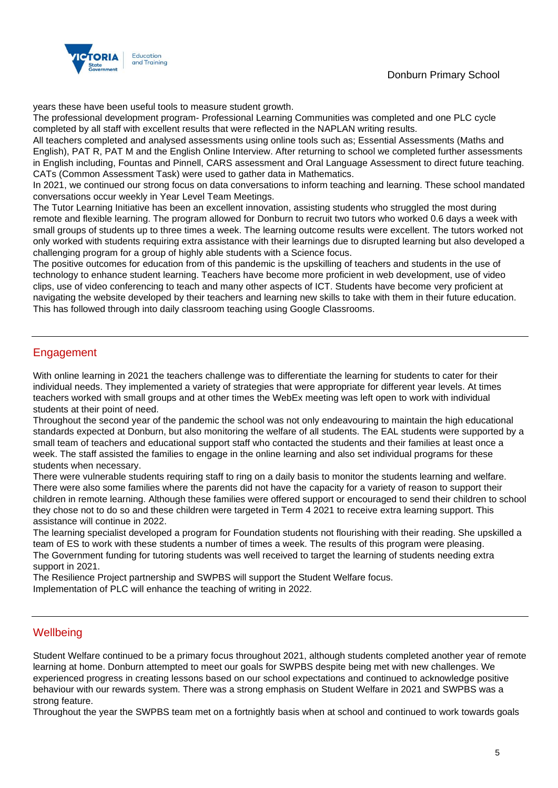

years these have been useful tools to measure student growth.

The professional development program- Professional Learning Communities was completed and one PLC cycle completed by all staff with excellent results that were reflected in the NAPLAN writing results.

All teachers completed and analysed assessments using online tools such as; Essential Assessments (Maths and English), PAT R, PAT M and the English Online Interview. After returning to school we completed further assessments in English including, Fountas and Pinnell, CARS assessment and Oral Language Assessment to direct future teaching. CATs (Common Assessment Task) were used to gather data in Mathematics.

In 2021, we continued our strong focus on data conversations to inform teaching and learning. These school mandated conversations occur weekly in Year Level Team Meetings.

The Tutor Learning Initiative has been an excellent innovation, assisting students who struggled the most during remote and flexible learning. The program allowed for Donburn to recruit two tutors who worked 0.6 days a week with small groups of students up to three times a week. The learning outcome results were excellent. The tutors worked not only worked with students requiring extra assistance with their learnings due to disrupted learning but also developed a challenging program for a group of highly able students with a Science focus.

The positive outcomes for education from of this pandemic is the upskilling of teachers and students in the use of technology to enhance student learning. Teachers have become more proficient in web development, use of video clips, use of video conferencing to teach and many other aspects of ICT. Students have become very proficient at navigating the website developed by their teachers and learning new skills to take with them in their future education. This has followed through into daily classroom teaching using Google Classrooms.

# Engagement

With online learning in 2021 the teachers challenge was to differentiate the learning for students to cater for their individual needs. They implemented a variety of strategies that were appropriate for different year levels. At times teachers worked with small groups and at other times the WebEx meeting was left open to work with individual students at their point of need.

Throughout the second year of the pandemic the school was not only endeavouring to maintain the high educational standards expected at Donburn, but also monitoring the welfare of all students. The EAL students were supported by a small team of teachers and educational support staff who contacted the students and their families at least once a week. The staff assisted the families to engage in the online learning and also set individual programs for these students when necessary.

There were vulnerable students requiring staff to ring on a daily basis to monitor the students learning and welfare. There were also some families where the parents did not have the capacity for a variety of reason to support their children in remote learning. Although these families were offered support or encouraged to send their children to school they chose not to do so and these children were targeted in Term 4 2021 to receive extra learning support. This assistance will continue in 2022.

The learning specialist developed a program for Foundation students not flourishing with their reading. She upskilled a team of ES to work with these students a number of times a week. The results of this program were pleasing. The Government funding for tutoring students was well received to target the learning of students needing extra support in 2021.

The Resilience Project partnership and SWPBS will support the Student Welfare focus.

Implementation of PLC will enhance the teaching of writing in 2022.

### **Wellbeing**

Student Welfare continued to be a primary focus throughout 2021, although students completed another year of remote learning at home. Donburn attempted to meet our goals for SWPBS despite being met with new challenges. We experienced progress in creating lessons based on our school expectations and continued to acknowledge positive behaviour with our rewards system. There was a strong emphasis on Student Welfare in 2021 and SWPBS was a strong feature.

Throughout the year the SWPBS team met on a fortnightly basis when at school and continued to work towards goals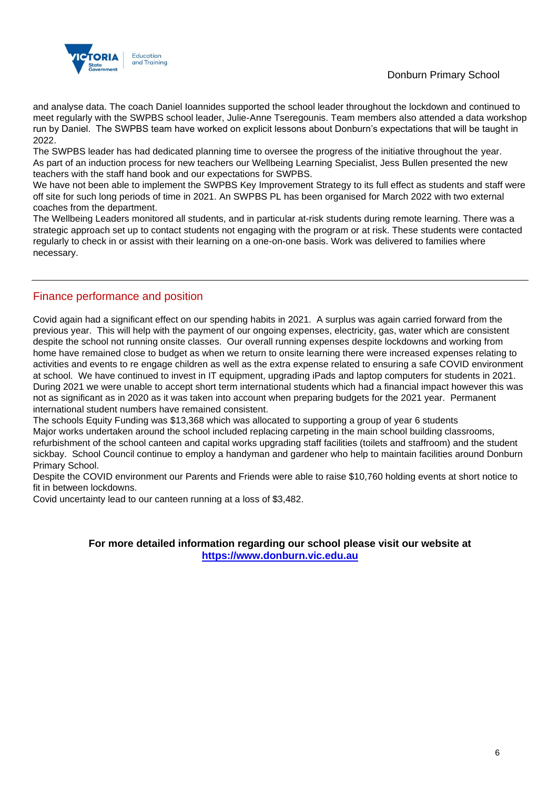# Donburn Primary School



and analyse data. The coach Daniel Ioannides supported the school leader throughout the lockdown and continued to meet regularly with the SWPBS school leader, Julie-Anne Tseregounis. Team members also attended a data workshop run by Daniel. The SWPBS team have worked on explicit lessons about Donburn's expectations that will be taught in 2022.

The SWPBS leader has had dedicated planning time to oversee the progress of the initiative throughout the year. As part of an induction process for new teachers our Wellbeing Learning Specialist, Jess Bullen presented the new teachers with the staff hand book and our expectations for SWPBS.

We have not been able to implement the SWPBS Key Improvement Strategy to its full effect as students and staff were off site for such long periods of time in 2021. An SWPBS PL has been organised for March 2022 with two external coaches from the department.

The Wellbeing Leaders monitored all students, and in particular at-risk students during remote learning. There was a strategic approach set up to contact students not engaging with the program or at risk. These students were contacted regularly to check in or assist with their learning on a one-on-one basis. Work was delivered to families where necessary.

### Finance performance and position

Covid again had a significant effect on our spending habits in 2021. A surplus was again carried forward from the previous year. This will help with the payment of our ongoing expenses, electricity, gas, water which are consistent despite the school not running onsite classes. Our overall running expenses despite lockdowns and working from home have remained close to budget as when we return to onsite learning there were increased expenses relating to activities and events to re engage children as well as the extra expense related to ensuring a safe COVID environment at school. We have continued to invest in IT equipment, upgrading iPads and laptop computers for students in 2021. During 2021 we were unable to accept short term international students which had a financial impact however this was not as significant as in 2020 as it was taken into account when preparing budgets for the 2021 year. Permanent international student numbers have remained consistent.

The schools Equity Funding was \$13,368 which was allocated to supporting a group of year 6 students Major works undertaken around the school included replacing carpeting in the main school building classrooms, refurbishment of the school canteen and capital works upgrading staff facilities (toilets and staffroom) and the student sickbay. School Council continue to employ a handyman and gardener who help to maintain facilities around Donburn Primary School.

Despite the COVID environment our Parents and Friends were able to raise \$10,760 holding events at short notice to fit in between lockdowns.

Covid uncertainty lead to our canteen running at a loss of \$3,482.

### **For more detailed information regarding our school please visit our website at [https://www.donburn.vic.edu.au](https://www.donburn.vic.edu.au/)**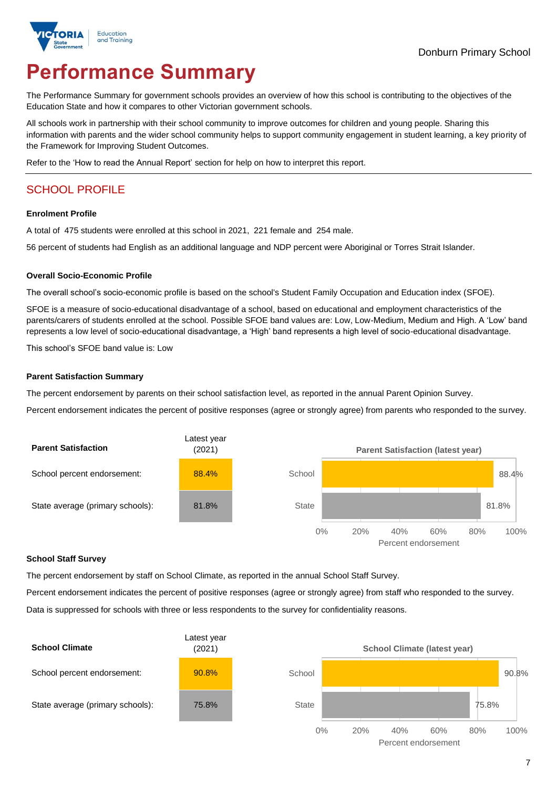

# **Performance Summary**

The Performance Summary for government schools provides an overview of how this school is contributing to the objectives of the Education State and how it compares to other Victorian government schools.

All schools work in partnership with their school community to improve outcomes for children and young people. Sharing this information with parents and the wider school community helps to support community engagement in student learning, a key priority of the Framework for Improving Student Outcomes.

Refer to the 'How to read the Annual Report' section for help on how to interpret this report.

# SCHOOL PROFILE

### **Enrolment Profile**

A total of 475 students were enrolled at this school in 2021, 221 female and 254 male.

56 percent of students had English as an additional language and NDP percent were Aboriginal or Torres Strait Islander.

### **Overall Socio-Economic Profile**

The overall school's socio-economic profile is based on the school's Student Family Occupation and Education index (SFOE).

SFOE is a measure of socio-educational disadvantage of a school, based on educational and employment characteristics of the parents/carers of students enrolled at the school. Possible SFOE band values are: Low, Low-Medium, Medium and High. A 'Low' band represents a low level of socio-educational disadvantage, a 'High' band represents a high level of socio-educational disadvantage.

This school's SFOE band value is: Low

### **Parent Satisfaction Summary**

The percent endorsement by parents on their school satisfaction level, as reported in the annual Parent Opinion Survey.

Percent endorsement indicates the percent of positive responses (agree or strongly agree) from parents who responded to the survey.



#### **School Staff Survey**

The percent endorsement by staff on School Climate, as reported in the annual School Staff Survey.

Percent endorsement indicates the percent of positive responses (agree or strongly agree) from staff who responded to the survey.

Data is suppressed for schools with three or less respondents to the survey for confidentiality reasons.

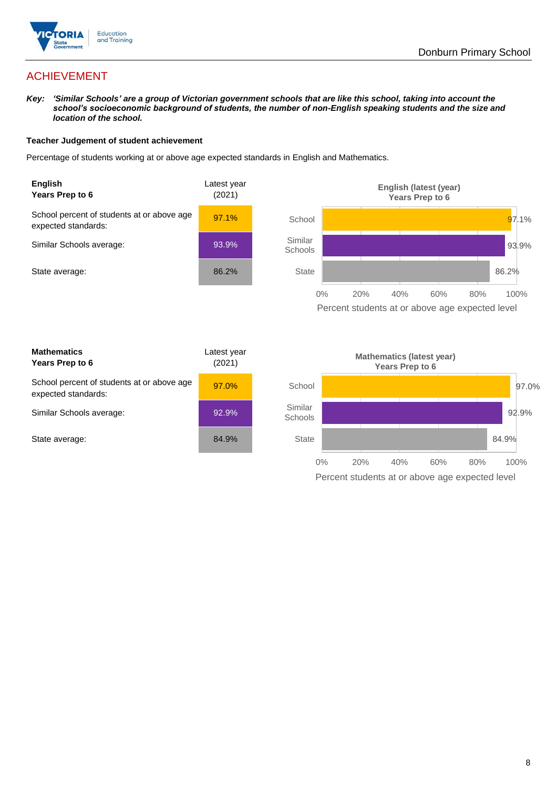

# ACHIEVEMENT

*Key: 'Similar Schools' are a group of Victorian government schools that are like this school, taking into account the school's socioeconomic background of students, the number of non-English speaking students and the size and location of the school.*

### **Teacher Judgement of student achievement**

Percentage of students working at or above age expected standards in English and Mathematics.





| <b>Mathematics</b><br>Years Prep to 6                             | Latest year<br>(2021) |
|-------------------------------------------------------------------|-----------------------|
| School percent of students at or above age<br>expected standards: | $97.0\%$              |
| Similar Schools average:                                          | 92.9%                 |
| State average:                                                    | 84.9%                 |

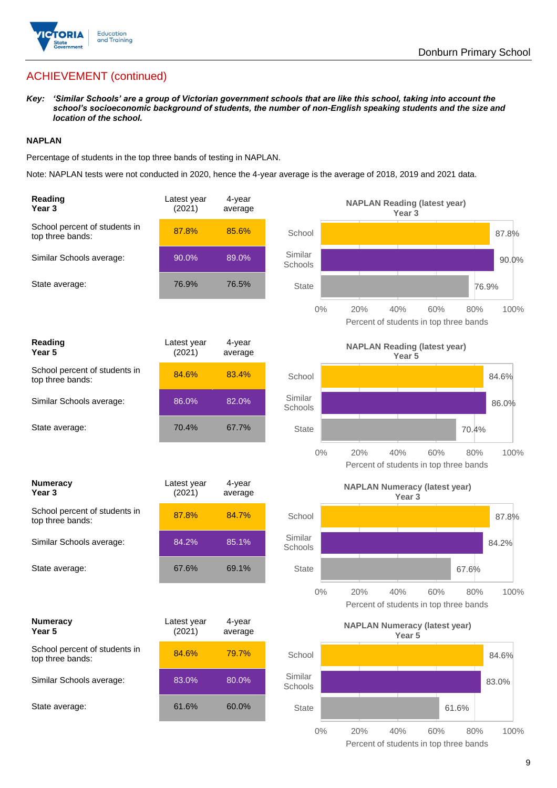

# ACHIEVEMENT (continued)

*Key: 'Similar Schools' are a group of Victorian government schools that are like this school, taking into account the school's socioeconomic background of students, the number of non-English speaking students and the size and location of the school.*

### **NAPLAN**

Percentage of students in the top three bands of testing in NAPLAN.

Note: NAPLAN tests were not conducted in 2020, hence the 4-year average is the average of 2018, 2019 and 2021 data.

| <b>Reading</b><br>Year <sub>3</sub>               | Latest year<br>(2021) | 4-year<br>average |                    |     | <b>NAPLAN Reading (latest year)</b><br>Year <sub>3</sub>  |       |       |
|---------------------------------------------------|-----------------------|-------------------|--------------------|-----|-----------------------------------------------------------|-------|-------|
| School percent of students in<br>top three bands: | 87.8%                 | 85.6%             | School             |     |                                                           |       | 87.8% |
| Similar Schools average:                          | 90.0%                 | 89.0%             | Similar<br>Schools |     |                                                           |       | 90.0% |
| State average:                                    | 76.9%                 | 76.5%             | <b>State</b>       |     |                                                           |       | 76.9% |
|                                                   |                       |                   | 0%                 | 20% | 40%<br>60%<br>Percent of students in top three bands      | 80%   | 100%  |
| Reading<br>Year <sub>5</sub>                      | Latest year<br>(2021) | 4-year<br>average |                    |     | <b>NAPLAN Reading (latest year)</b><br>Year <sub>5</sub>  |       |       |
| School percent of students in<br>top three bands: | 84.6%                 | 83.4%             | School             |     |                                                           |       | 84.6% |
| Similar Schools average:                          | 86.0%                 | 82.0%             | Similar<br>Schools |     |                                                           |       | 86.0% |
| State average:                                    | 70.4%                 | 67.7%             | <b>State</b>       |     |                                                           | 70.4% |       |
|                                                   |                       |                   | $0\%$              | 20% | 40%<br>60%<br>Percent of students in top three bands      | 80%   | 100%  |
| <b>Numeracy</b><br>Year <sub>3</sub>              | Latest year<br>(2021) | 4-year<br>average |                    |     | <b>NAPLAN Numeracy (latest year)</b><br>Year <sub>3</sub> |       |       |
| School percent of students in<br>top three bands: | 87.8%                 | 84.7%             | School             |     |                                                           |       | 87.8% |
| Similar Schools average:                          | 84.2%                 | 85.1%             | Similar<br>Schools |     |                                                           |       | 84.2% |
| State average:                                    | 67.6%                 | 69.1%             | <b>State</b>       |     |                                                           | 67.6% |       |
|                                                   |                       |                   | $0\%$              | 20% | 40%<br>60%<br>Percent of students in top three bands      | 80%   | 100%  |
| <b>Numeracy</b><br>Year 5                         | Latest year<br>(2021) | 4-year<br>average |                    |     | <b>NAPLAN Numeracy (latest year)</b><br>Year <sub>5</sub> |       |       |
| School percent of students in<br>top three bands: | 84.6%                 | 79.7%             | School             |     |                                                           |       | 84.6% |
| Similar Schools average:                          | 83.0%                 | 80.0%             | Similar<br>Schools |     |                                                           |       | 83.0% |
| State average:                                    | 61.6%                 | 60.0%             | State              |     |                                                           | 61.6% |       |
|                                                   |                       |                   | $0\%$              | 20% | 40%<br>60%                                                | 80%   | 100%  |

Percent of students in top three bands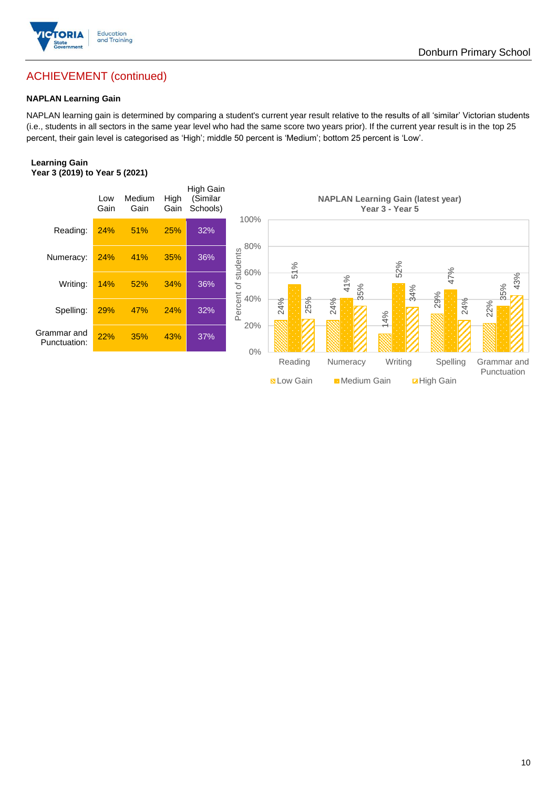

# ACHIEVEMENT (continued)

### **NAPLAN Learning Gain**

NAPLAN learning gain is determined by comparing a student's current year result relative to the results of all 'similar' Victorian students (i.e., students in all sectors in the same year level who had the same score two years prior). If the current year result is in the top 25 percent, their gain level is categorised as 'High'; middle 50 percent is 'Medium'; bottom 25 percent is 'Low'.

### **Learning Gain Year 3 (2019) to Year 5 (2021)**



**BLow Gain** Medium Gain **Example 10**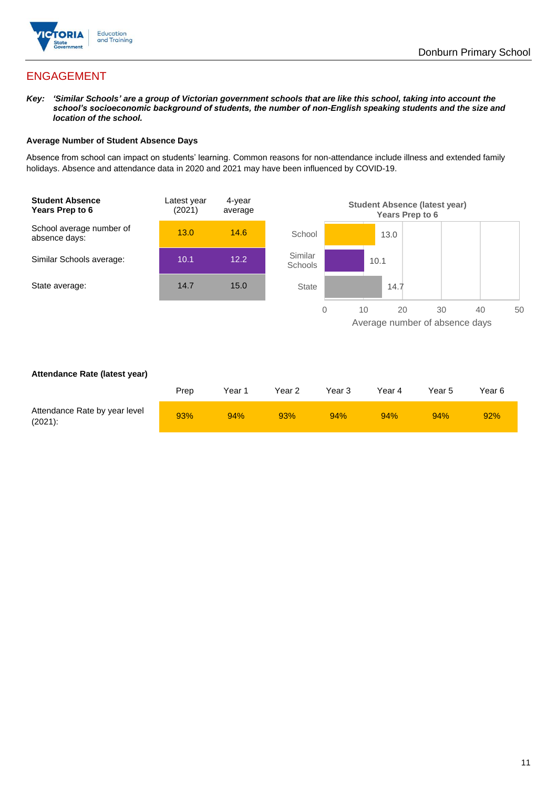

# ENGAGEMENT

*Key: 'Similar Schools' are a group of Victorian government schools that are like this school, taking into account the school's socioeconomic background of students, the number of non-English speaking students and the size and location of the school.*

### **Average Number of Student Absence Days**

Absence from school can impact on students' learning. Common reasons for non-attendance include illness and extended family holidays. Absence and attendance data in 2020 and 2021 may have been influenced by COVID-19.



### **Attendance Rate (latest year)**

|                                             | Prep | Year 1 | Year 2 | Year 3 | Year 4 | Year 5 | Year 6 |
|---------------------------------------------|------|--------|--------|--------|--------|--------|--------|
| Attendance Rate by year level<br>$(2021)$ : | 93%  | 94%    | 93%    | 94%    | 94%    | 94%    | 92%    |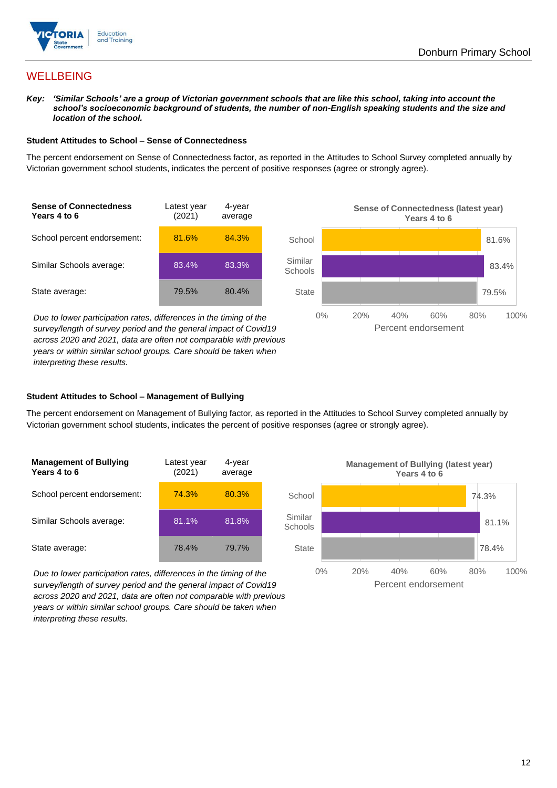

# **WELLBEING**

*Key: 'Similar Schools' are a group of Victorian government schools that are like this school, taking into account the school's socioeconomic background of students, the number of non-English speaking students and the size and location of the school.*

#### **Student Attitudes to School – Sense of Connectedness**

The percent endorsement on Sense of Connectedness factor, as reported in the Attitudes to School Survey completed annually by Victorian government school students, indicates the percent of positive responses (agree or strongly agree).



*Due to lower participation rates, differences in the timing of the survey/length of survey period and the general impact of Covid19 across 2020 and 2021, data are often not comparable with previous years or within similar school groups. Care should be taken when interpreting these results.*



#### **Student Attitudes to School – Management of Bullying**

The percent endorsement on Management of Bullying factor, as reported in the Attitudes to School Survey completed annually by Victorian government school students, indicates the percent of positive responses (agree or strongly agree).

| <b>Management of Bullying</b><br>Years 4 to 6 | Latest year<br>(2021) | 4-year<br>average |  |
|-----------------------------------------------|-----------------------|-------------------|--|
| School percent endorsement:                   | 74.3%                 | 80.3%             |  |
| Similar Schools average:                      | 81.1%                 | 81.8%             |  |
| State average:                                | 78.4%                 | 79.7%             |  |

*Due to lower participation rates, differences in the timing of the survey/length of survey period and the general impact of Covid19 across 2020 and 2021, data are often not comparable with previous years or within similar school groups. Care should be taken when interpreting these results.*

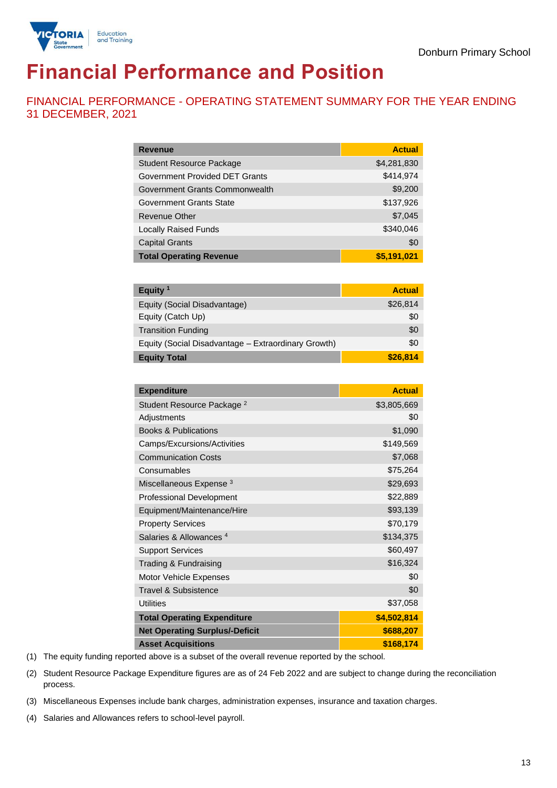

# **Financial Performance and Position**

FINANCIAL PERFORMANCE - OPERATING STATEMENT SUMMARY FOR THE YEAR ENDING 31 DECEMBER, 2021

| <b>Revenue</b>                  | <b>Actual</b> |
|---------------------------------|---------------|
| <b>Student Resource Package</b> | \$4,281,830   |
| Government Provided DET Grants  | \$414,974     |
| Government Grants Commonwealth  | \$9,200       |
| <b>Government Grants State</b>  | \$137,926     |
| Revenue Other                   | \$7,045       |
| <b>Locally Raised Funds</b>     | \$340,046     |
| <b>Capital Grants</b>           | \$0           |
| <b>Total Operating Revenue</b>  | \$5,191,021   |

| Equity <sup>1</sup>                                 | <b>Actual</b> |
|-----------------------------------------------------|---------------|
| Equity (Social Disadvantage)                        | \$26,814      |
| Equity (Catch Up)                                   | \$0           |
| <b>Transition Funding</b>                           | \$0           |
| Equity (Social Disadvantage - Extraordinary Growth) | \$0           |
| <b>Equity Total</b>                                 | \$26,814      |

| <b>Expenditure</b>                    | <b>Actual</b> |
|---------------------------------------|---------------|
| Student Resource Package <sup>2</sup> | \$3,805,669   |
| Adjustments                           | \$0           |
| <b>Books &amp; Publications</b>       | \$1,090       |
| Camps/Excursions/Activities           | \$149,569     |
| <b>Communication Costs</b>            | \$7,068       |
| Consumables                           | \$75,264      |
| Miscellaneous Expense <sup>3</sup>    | \$29,693      |
| <b>Professional Development</b>       | \$22,889      |
| Equipment/Maintenance/Hire            | \$93,139      |
| <b>Property Services</b>              | \$70,179      |
| Salaries & Allowances <sup>4</sup>    | \$134,375     |
| <b>Support Services</b>               | \$60,497      |
| Trading & Fundraising                 | \$16,324      |
| Motor Vehicle Expenses                | \$0           |
| Travel & Subsistence                  | \$0           |
| <b>Utilities</b>                      | \$37,058      |
| <b>Total Operating Expenditure</b>    | \$4,502,814   |
| <b>Net Operating Surplus/-Deficit</b> | \$688,207     |
| <b>Asset Acquisitions</b>             | \$168,174     |

(1) The equity funding reported above is a subset of the overall revenue reported by the school.

(2) Student Resource Package Expenditure figures are as of 24 Feb 2022 and are subject to change during the reconciliation process.

(3) Miscellaneous Expenses include bank charges, administration expenses, insurance and taxation charges.

(4) Salaries and Allowances refers to school-level payroll.